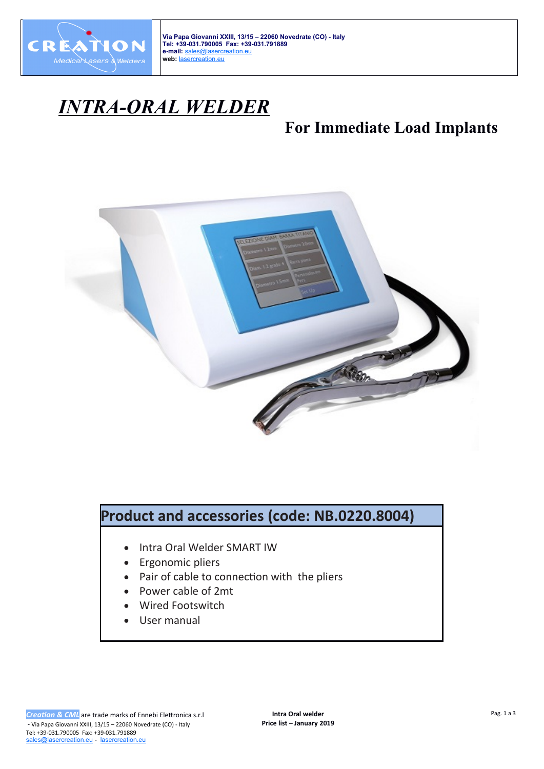

**Via Papa Giovanni XXIII, 13/15 – 22060 Novedrate (CO) - Italy Tel: +39-031.790005 Fax: +39-031.791889 e-mail:** [sales@lasercreation.eu](mailto:sales@lasercreation.eu) **web:** [lasercreation. eu](http://lasercreation.eu/)

## *INTRA-ORAL WELDER*

## **For Immediate Load Implants**



## **Product and accessories (code: NB.0220.8004)**

- Intra Oral Welder SMART IW
- Ergonomic pliers
- Pair of cable to connection with the pliers
- Power cable of 2mt
- Wired Footswitch
- User manual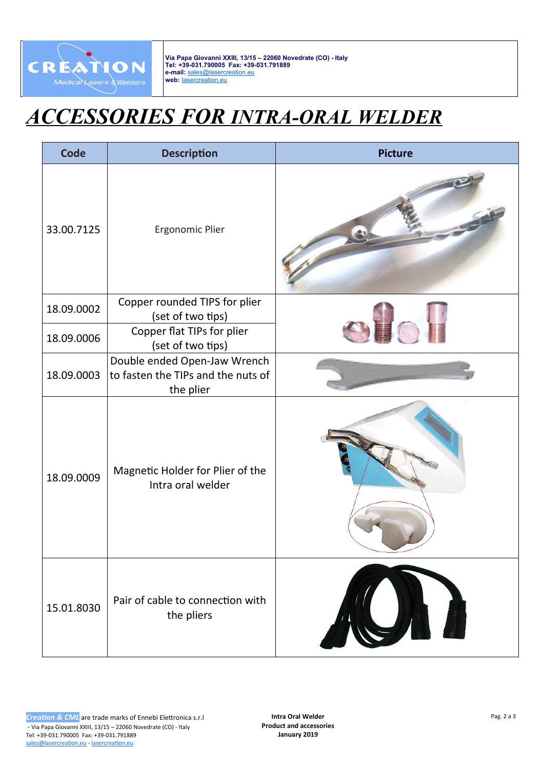

**Via Papa Giovanni XXIII, 13/15 – 22060 Novedrate (CO) - Italy Tel: +39-031.790005 Fax: +39-031.791889 e-mail:** [sales@lasercreation.eu](mailto:sales@lasercreation.eu) **web:** [lasercreation.eu](http://lasercreation.eu/)

## *ACCESSORIES FOR INTRA-ORAL WELDER*

| <b>Code</b> | <b>Description</b>                                                              | <b>Picture</b> |
|-------------|---------------------------------------------------------------------------------|----------------|
| 33.00.7125  | Ergonomic Plier                                                                 |                |
| 18.09.0002  | Copper rounded TIPS for plier<br>(set of two tips)                              |                |
| 18.09.0006  | Copper flat TIPs for plier<br>(set of two tips)                                 |                |
| 18.09.0003  | Double ended Open-Jaw Wrench<br>to fasten the TIPs and the nuts of<br>the plier |                |
| 18.09.0009  | Magnetic Holder for Plier of the<br>Intra oral welder                           |                |
| 15.01.8030  | Pair of cable to connection with<br>the pliers                                  |                |